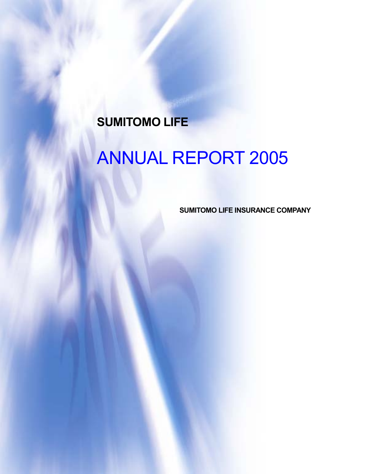## **SUMITOMO LIFE**

# ANNUAL REPORT 2005

**SUMITOMO LIFE INSURANCE COMPANY**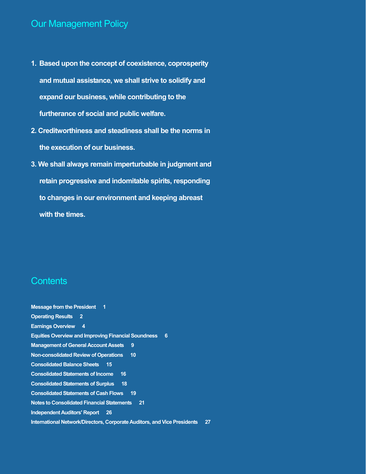### Our Management Policy

- **1. Based upon the concept of coexistence, coprosperity and mutual assistance, we shall strive to solidify and expand our business, while contributing to the furtherance of social and public welfare.**
- **2. Creditworthiness and steadiness shall be the norms in the execution of our business.**
- **3. We shall always remain imperturbable in judgment and retain progressive and indomitable spirits, responding to changes in our environment and keeping abreast with the times.**

### **Contents**

**Message from the President 1 Operating Results 2 Earnings Overview 4 Equities Overview and Improving Financial Soundness 6 Management of General Account Assets 9 Non-consolidated Review of Operations 10 Consolidated Balance Sheets 15 Consolidated Statements of Income 16 Consolidated Statements of Surplus 18 Consolidated Statements of Cash Flows 19 Notes to Consolidated Financial Statements 21 Independent Auditors' Report 26 International Network/Directors, Corporate Auditors, and Vice Presidents 27**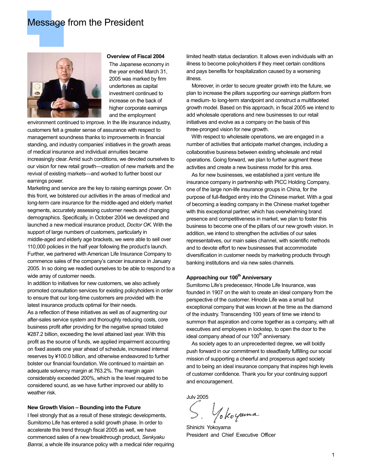### Message from the President



#### **Overview of Fiscal 2004**

The Japanese economy in the year ended March 31, 2005 was marked by firm undertones as capital investment continued to increase on the back of higher corporate earnings and the employment

environment continued to improve. In the life insurance industry, customers felt a greater sense of assurance with respect to management soundness thanks to improvements in financial standing, and industry companies' initiatives in the growth areas of medical insurance and individual annuities became increasingly clear. Amid such conditions, we devoted ourselves to our vision for new retail growth—creation of new markets and the revival of existing markets—and worked to further boost our earnings power.

Marketing and service are the key to raising earnings power. On this front, we bolstered our activities in the areas of medical and long-term care insurance for the middle-aged and elderly market segments, accurately assessing customer needs and changing demographics. Specifically, in October 2004 we developed and launched a new medical insurance product, *Doctor OK*. With the support of large numbers of customers, particularly in middle-aged and elderly age brackets, we were able to sell over 110,000 policies in the half year following the product's launch. Further, we partnered with American Life Insurance Company to commence sales of the company's cancer insurance in January 2005. In so doing we readied ourselves to be able to respond to a wide array of customer needs.

In addition to initiatives for new customers, we also actively promoted consultation services for existing policyholders in order to ensure that our long-time customers are provided with the latest insurance products optimal for their needs.

As a reflection of these initiatives as well as of augmenting our after-sales service system and thoroughly reducing costs, core business profit after providing for the negative spread totaled ¥287.2 billion, exceeding the level attained last year. With this profit as the source of funds, we applied impairment accounting on fixed assets one year ahead of schedule, increased internal reserves by ¥100.0 billion, and otherwise endeavored to further bolster our financial foundation. We continued to maintain an adequate solvency margin at 763.2%. The margin again considerably exceeded 200%, which is the level required to be considered sound, as we have further improved our ability to weather risk.

#### **New Growth Vision – Bounding into the Future**

I feel strongly that as a result of these strategic developments, Sumitomo Life has entered a solid growth phase. In order to accelerate this trend through fiscal 2005 as well, we have commenced sales of a new breakthrough product, *Senkyaku Banrai*, a whole life insurance policy with a medical rider requiring limited health status declaration. It allows even individuals with an illness to become policyholders if they meet certain conditions and pays benefits for hospitalization caused by a worsening illness.

 Moreover, in order to secure greater growth into the future, we plan to increase the pillars supporting our earnings platform from a medium- to long-term standpoint and construct a multifaceted growth model. Based on this approach, in fiscal 2005 we intend to add wholesale operations and new businesses to our retail initiatives and evolve as a company on the basis of this three-pronged vision for new growth.

 With respect to wholesale operations, we are engaged in a number of activities that anticipate market changes, including a collaborative business between existing wholesale and retail operations. Going forward, we plan to further augment these activities and create a new business model for this area.

 As for new businesses, we established a joint venture life insurance company in partnership with PICC Holding Company, one of the large non-life insurance groups in China, for the purpose of full-fledged entry into the Chinese market. With a goal of becoming a leading company in the Chinese market together with this exceptional partner, which has overwhelming brand presence and competitiveness in market, we plan to foster this business to become one of the pillars of our new growth vision. In addition, we intend to strengthen the activities of our sales representatives, our main sales channel, with scientific methods and to devote effort to new businesses that accommodate diversification in customer needs by marketing products through banking institutions and via new sales channels.

### Approaching our 100<sup>th</sup> Anniversary

Sumitomo Life's predecessor, Hinode Life Insurance, was founded in 1907 on the wish to create an ideal company from the perspective of the customer. Hinode Life was a small but exceptional company that was known at the time as the diamond of the industry. Transcending 100 years of time we intend to summon that aspiration and come together as a company, with all executives and employees in lockstep, to open the door to the ideal company ahead of our  $100<sup>th</sup>$  anniversary.

 As society ages to an unprecedented degree, we will boldly push forward in our commitment to steadfastly fulfilling our social mission of supporting a cheerful and prosperous aged society and to being an ideal insurance company that inspires high levels of customer confidence. Thank you for your continuing support and encouragement.

July 2005

S. Yokoyama

Shinichi Yokoyama President and Chief Executive Officer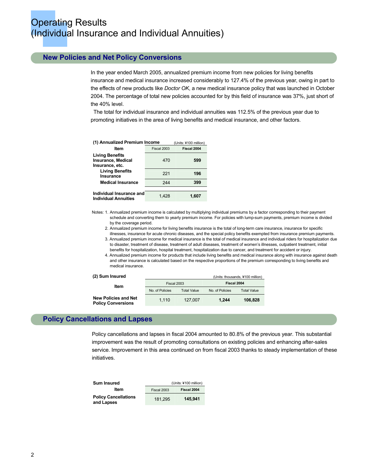### **New Policies and Net Policy Conversions**

In the year ended March 2005, annualized premium income from new policies for living benefits insurance and medical insurance increased considerably to 127.4% of the previous year, owing in part to the effects of new products like *Doctor OK*, a new medical insurance policy that was launched in October 2004. The percentage of total new policies accounted for by this field of insurance was 37%, just short of the 40% level.

The total for individual insurance and individual annuities was 112.5% of the previous year due to promoting initiatives in the area of living benefits and medical insurance, and other factors.

| (1) Annualized Premium Income                                   |             | (Units: ¥100 million) |
|-----------------------------------------------------------------|-------------|-----------------------|
| Item                                                            | Fiscal 2003 | Fiscal 2004           |
| <b>Living Benefits</b><br>Insurance, Medical<br>Insurance, etc. | 470         | 599                   |
| <b>Living Benefits</b><br>Insurance                             | 221         | 196                   |
| <b>Medical Insurance</b>                                        | 244         | 399                   |
|                                                                 |             |                       |
| Individual Insurance and<br><b>Individual Annuities</b>         | 1.428       | 1.607                 |

Notes: 1. Annualized premium income is calculated by multiplying individual premiums by a factor corresponding to their payment schedule and converting them to yearly premium income. For policies with lump-sum payments, premium income is divided by the coverage period.

 2. Annualized premium income for living benefits insurance is the total of long-term care insurance, insurance for specific illnesses, insurance for acute chronic diseases, and the special policy benefits exempted from insurance premium payments.

- 3. Annualized premium income for medical insurance is the total of medical insurance and individual riders for hospitalization due to disaster, treatment of disease, treatment of adult diseases, treatment of women's illnesses, outpatient treatment, initial benefits for hospitalization, hospital treatment, hospitalization due to cancer, and treatment for accident or injury.
- 4. Annualized premium income for products that include living benefits and medical insurance along with insurance against death and other insurance is calculated based on the respective proportions of the premium corresponding to living benefits and medical insurance.

| (2) Sum Insured                                          |                 |                    |                 | (Units: thousands, ¥100 million) |
|----------------------------------------------------------|-----------------|--------------------|-----------------|----------------------------------|
| Item                                                     | Fiscal 2003     |                    | Fiscal 2004     |                                  |
|                                                          | No. of Policies | <b>Total Value</b> | No. of Policies | <b>Total Value</b>               |
| <b>New Policies and Net</b><br><b>Policy Conversions</b> | 1.110           | 127,007            | 1.244           | 106.828                          |

### **Policy Cancellations and Lapses**

Policy cancellations and lapses in fiscal 2004 amounted to 80.8% of the previous year. This substantial improvement was the result of promoting consultations on existing policies and enhancing after-sales service. Improvement in this area continued on from fiscal 2003 thanks to steady implementation of these initiatives.

| <b>Sum Insured</b>                        | (Units: ¥100 million) |             |
|-------------------------------------------|-----------------------|-------------|
| Item                                      | Fiscal 2003           | Fiscal 2004 |
| <b>Policy Cancellations</b><br>and Lapses | 181.295               | 145.941     |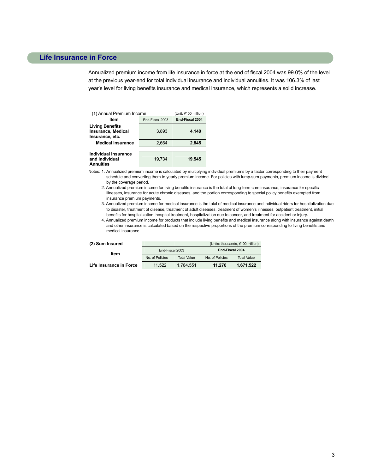### **Life Insurance in Force**

Annualized premium income from life insurance in force at the end of fiscal 2004 was 99.0% of the level at the previous year-end for total individual insurance and individual annuities. It was 106.3% of last year's level for living benefits insurance and medical insurance, which represents a solid increase.

| (1) Annual Premium Income                                       |                 | (Unit: ¥100 million)   |
|-----------------------------------------------------------------|-----------------|------------------------|
| Item                                                            | End-Fiscal 2003 | <b>End Fiscal 2004</b> |
| <b>Living Benefits</b><br>Insurance, Medical<br>Insurance, etc. | 3.893           | 4,140                  |
| <b>Medical Insurance</b>                                        | 2.664           | 2.845                  |
|                                                                 |                 |                        |
| Individual Insurance<br>and Individual<br><b>Annuities</b>      | 19.734          | 19.545                 |

Notes: 1. Annualized premium income is calculated by multiplying individual premiums by a factor corresponding to their payment schedule and converting them to yearly premium income. For policies with lump-sum payments, premium income is divided by the coverage period.

- 2. Annualized premium income for living benefits insurance is the total of long-term care insurance, insurance for specific illnesses, insurance for acute chronic diseases, and the portion corresponding to special policy benefits exempted from insurance premium payments.
- 3. Annualized premium income for medical insurance is the total of medical insurance and individual riders for hospitalization due to disaster, treatment of disease, treatment of adult diseases, treatment of women's illnesses, outpatient treatment, initial benefits for hospitalization, hospital treatment, hospitalization due to cancer, and treatment for accident or injury.

 4. Annualized premium income for products that include living benefits and medical insurance along with insurance against death and other insurance is calculated based on the respective proportions of the premium corresponding to living benefits and medical insurance.

|  | (2) Sum Insured |
|--|-----------------|
|--|-----------------|

| (2) Sum Insured         |                 |                    |                 | (Units: thousands, ¥100 million) |
|-------------------------|-----------------|--------------------|-----------------|----------------------------------|
| Item                    | End-Fiscal 2003 |                    | End-Fiscal 2004 |                                  |
|                         | No. of Policies | <b>Total Value</b> | No. of Policies | <b>Total Value</b>               |
| Life Insurance in Force | 11.522          | 1.764.551          | 11.276          | 1.671.522                        |

3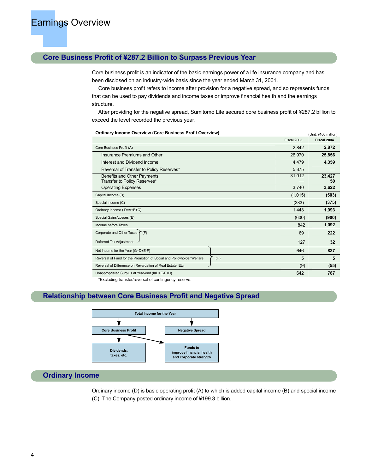### **Core Business Profit of ¥287.2 Billion to Surpass Previous Year**

Core business profit is an indicator of the basic earnings power of a life insurance company and has been disclosed on an industry-wide basis since the year ended March 31, 2001.

Core business profit refers to income after provision for a negative spread, and so represents funds that can be used to pay dividends and income taxes or improve financial health and the earnings structure.

After providing for the negative spread, Sumitomo Life secured core business profit of ¥287.2 billion to exceed the level recorded the previous year.

**Ordinary Income Overview (Core Business Profit Overview) Constant Core 2006 (Unit: ¥100 million)** 

|                                                                              |             | <u></u>      |
|------------------------------------------------------------------------------|-------------|--------------|
|                                                                              | Fiscal 2003 | Fiscal 2004  |
| Core Business Profit (A)                                                     | 2,842       | 2,872        |
| Insurance Premiums and Other                                                 | 26,970      | 25,856       |
| Interest and Dividend Income                                                 | 4,479       | 4,359        |
| Reversal of Transfer to Policy Reserves*                                     | 5,875       |              |
| Benefits and Other Payments<br>Transfer to Policy Reserves*                  | 31,012      | 23,427<br>50 |
| <b>Operating Expenses</b>                                                    | 3,740       | 3,622        |
| Capital Income (B)                                                           | (1,015)     | (503)        |
| Special Income (C)                                                           | (383)       | (375)        |
| Ordinary Income (D=A+B+C)                                                    | 1,443       | 1,993        |
| Special Gains/Losses (E)                                                     | (600)       | (900)        |
| Income before Taxes                                                          | 842         | 1,092        |
| Corporate and Other Taxes $\Gamma$ (F)                                       | 69          | 222          |
| Deferred Tax Adjustment                                                      | 127         | 32           |
| Net Income for the Year (G=D+E-F)                                            | 646         | 837          |
| Reversal of Fund for the Promotion of Social and Policyholder Welfare<br>(H) | 5           | 5            |
| Reversal of Difference on Revaluation of Real Estate, Etc.                   | (9)         | (55)         |
| Unappropriated Surplus at Year-end (I=D+E-F+H)                               | 642         | 787          |
|                                                                              |             |              |

\*Excluding transfer/reversal of contingency reserve.

### **Relationship between Core Business Profit and Negative Spread**



### **Ordinary Income**

Ordinary income (D) is basic operating profit (A) to which is added capital income (B) and special income (C). The Company posted ordinary income of ¥199.3 billion.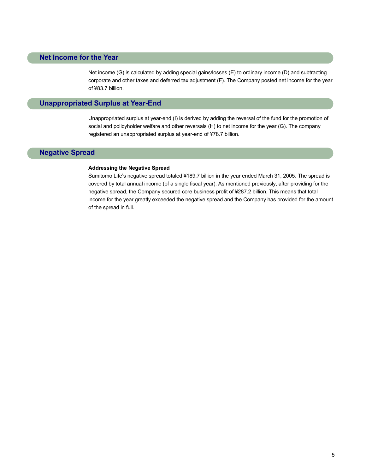### **Net Income for the Year**

Net income (G) is calculated by adding special gains/losses (E) to ordinary income (D) and subtracting corporate and other taxes and deferred tax adjustment (F). The Company posted net income for the year of ¥83.7 billion.

### **Unappropriated Surplus at Year-End**

Unappropriated surplus at year-end (I) is derived by adding the reversal of the fund for the promotion of social and policyholder welfare and other reversals (H) to net income for the year (G). The company registered an unappropriated surplus at year-end of ¥78.7 billion.

### **Negative Spread**

### **Addressing the Negative Spread**

Sumitomo Life's negative spread totaled ¥189.7 billion in the year ended March 31, 2005. The spread is covered by total annual income (of a single fiscal year). As mentioned previously, after providing for the negative spread, the Company secured core business profit of ¥287.2 billion. This means that total income for the year greatly exceeded the negative spread and the Company has provided for the amount of the spread in full.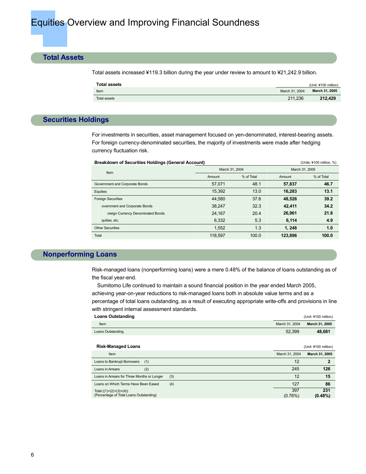### **Total Assets**

Total assets increased ¥119.3 billion during the year under review to amount to ¥21,242.9 billion.

| Total assets |                | (Unit: ¥100 million) |
|--------------|----------------|----------------------|
| Item         | March 31, 2004 | March 31, 2005       |
| Total assets | 211.236        | 212.429              |

### **Securities Holdings**

For investments in securities, asset management focused on yen-denominated, interest-bearing assets. For foreign currency-denominated securities, the majority of investments were made after hedging currency fluctuation risk.

| <b>Breakdown of Securities Holdings (General Account)</b> |         |                |         | (Units: ¥100 million, %) |  |
|-----------------------------------------------------------|---------|----------------|---------|--------------------------|--|
| Item                                                      |         | March 31, 2004 |         | March 31, 2005           |  |
|                                                           | Amount  | % of Total     | Amount  | % of Total               |  |
| Government and Corporate Bonds                            | 57.071  | 48.1           | 57,837  | 46.7                     |  |
| Equities                                                  | 15,392  | 13.0           | 16,283  | 13.1                     |  |
| <b>Foreign Securities</b>                                 | 44.580  | 37.6           | 48,526  | 39.2                     |  |
| overnment and Corporate Bonds                             | 38.247  | 32.3           | 42.411  | 34.2                     |  |
| oreign Currency Denominated Bonds                         | 24,167  | 20.4           | 26.961  | 21.8                     |  |
| quities, etc.                                             | 6,332   | 5.3            | 6,114   | 4.9                      |  |
| <b>Other Securities</b>                                   | 1,552   | 1.3            | 1.248   | 1.0                      |  |
| Total                                                     | 118.597 | 100.0          | 123,896 | 100.0                    |  |

### **Nonperforming Loans**

Risk-managed loans (nonperforming loans) were a mere 0.48% of the balance of loans outstanding as of the fiscal year-end.

 Sumitomo Life continued to maintain a sound financial position in the year ended March 2005, achieving year-on-year reductions to risk-managed loans both in absolute value terms and as a percentage of total loans outstanding, as a result of executing appropriate write-offs and provisions in line with stringent internal assessment standards.

| <b>Loans Outstanding</b>                                             |                | (Unit: ¥100 million) |
|----------------------------------------------------------------------|----------------|----------------------|
| Item                                                                 | March 31, 2004 | March 31, 2005       |
| Loans Outstanding                                                    | 52,399         | 48,681               |
|                                                                      |                |                      |
| <b>Risk-Managed Loans</b>                                            |                | (Unit: ¥100 million) |
| Item                                                                 | March 31, 2004 | March 31, 2005       |
| Loans to Bankrupt Borrowers<br>(1)                                   | 12             | $\mathbf{2}$         |
| Loans in Arrears<br>(2)                                              | 245            | 126                  |
| Loans in Arrears for Three Months or Longer<br>(3)                   | 12             | 15                   |
| Loans on Which Terms Have Been Eased<br>(4)                          | 127            | 86                   |
| Total $((1)+(2)+(3)+(4))$<br>(Percentage of Total Loans Outstanding) | 397<br>(0.76%) | 231<br>$(0.48\%)$    |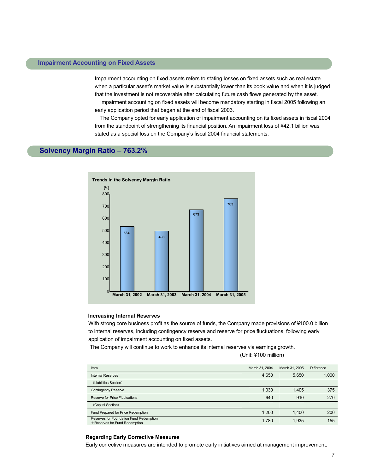### **Impairment Accounting on Fixed Assets**

Impairment accounting on fixed assets refers to stating losses on fixed assets such as real estate when a particular asset's market value is substantially lower than its book value and when it is judged that the investment is not recoverable after calculating future cash flows generated by the asset. Impairment accounting on fixed assets will become mandatory starting in fiscal 2005 following an early application period that began at the end of fiscal 2003.

The Company opted for early application of impairment accounting on its fixed assets in fiscal 2004 from the standpoint of strengthening its financial position. An impairment loss of ¥42.1 billion was stated as a special loss on the Company's fiscal 2004 financial statements.

### **Solvency Margin Ratio – 763.2%**



### **Increasing Internal Reserves**

With strong core business profit as the source of funds, the Company made provisions of ¥100.0 billion to internal reserves, including contingency reserve and reserve for price fluctuations, following early application of impairment accounting on fixed assets.

The Company will continue to work to enhance its internal reserves via earnings growth.

(Unit: ¥100 million)

| Item                                                                     | March 31, 2004 | March 31, 2005 | <b>Difference</b> |
|--------------------------------------------------------------------------|----------------|----------------|-------------------|
| <b>Internal Reserves</b>                                                 | 4,650          | 5,650          | 1,000             |
| (Liabilities Section)                                                    |                |                |                   |
| <b>Contingency Reserve</b>                                               | 1,030          | 1,405          | 375               |
| <b>Reserve for Price Fluctuations</b>                                    | 640            | 910            | 270               |
| (Capital Section)                                                        |                |                |                   |
| Fund Prepared for Price Redemption                                       | 1,200          | 1,400          | 200               |
| Reserves for Foundation Fund Redemption<br>+Reserves for Fund Redemption | 1,780          | 1,935          | 155               |

#### **Regarding Early Corrective Measures**

Early corrective measures are intended to promote early initiatives aimed at management improvement.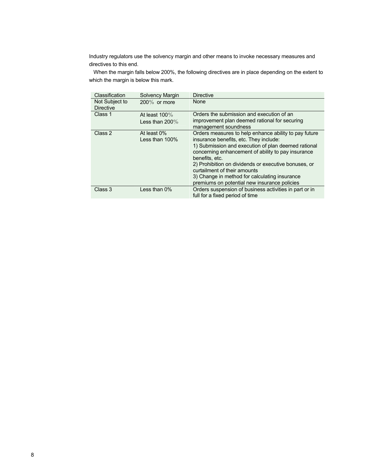Industry regulators use the solvency margin and other means to invoke necessary measures and directives to this end.

When the margin falls below 200%, the following directives are in place depending on the extent to which the margin is below this mark.

| Classification                     | Solvency Margin                       | <b>Directive</b>                                                                                                                                                                                                                                                                                                                                                                                                        |
|------------------------------------|---------------------------------------|-------------------------------------------------------------------------------------------------------------------------------------------------------------------------------------------------------------------------------------------------------------------------------------------------------------------------------------------------------------------------------------------------------------------------|
| Not Subject to<br><b>Directive</b> | $200\%$ or more                       | None                                                                                                                                                                                                                                                                                                                                                                                                                    |
| Class 1                            | At least $100\%$<br>Less than $200\%$ | Orders the submission and execution of an<br>improvement plan deemed rational for securing<br>management soundness                                                                                                                                                                                                                                                                                                      |
| Class 2                            | At least 0%<br>Less than 100%         | Orders measures to help enhance ability to pay future<br>insurance benefits, etc. They include:<br>1) Submission and execution of plan deemed rational<br>concerning enhancement of ability to pay insurance<br>benefits, etc.<br>2) Prohibition on dividends or executive bonuses, or<br>curtailment of their amounts<br>3) Change in method for calculating insurance<br>premiums on potential new insurance policies |
| Class 3                            | Less than 0%                          | Orders suspension of business activities in part or in<br>full for a fixed period of time                                                                                                                                                                                                                                                                                                                               |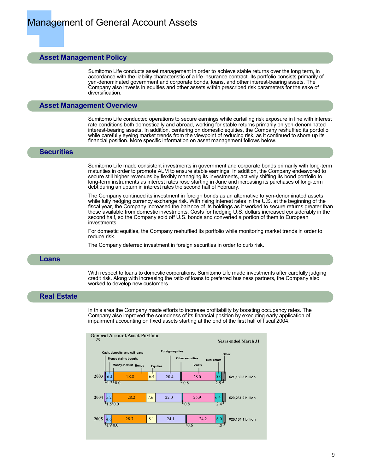### **Asset Management Policy**

Sumitomo Life conducts asset management in order to achieve stable returns over the long term, in accordance with the liability characteristic of a life insurance contract. Its portfolio consists primarily of yen-denominated government and corporate bonds, loans, and other interest-bearing assets. The Company also invests in equities and other assets within prescribed risk parameters for the sake of diversification.

### **Asset Management Overview**

Sumitomo Life conducted operations to secure earnings while curtailing risk exposure in line with interest rate conditions both domestically and abroad, working for stable returns primarily on yen-denominated interest-bearing assets. In addition, centering on domestic equities, the Company reshuffled its portfolio while carefully eyeing market trends from the viewpoint of reducing risk, as it continued to shore up its financial position. More specific information on asset management follows below.

### **Securities**

Sumitomo Life made consistent investments in government and corporate bonds primarily with long-term maturities in order to promote ALM to ensure stable earnings. In addition, the Company endeavored to secure still higher revenues by flexibly managing its investments, actively shifting its bond portfolio to long-term instruments as interest rates rose starting in June and increasing its purchases of long-term debt during an upturn in interest rates the second half of February.

The Company continued its investment in foreign bonds as an alternative to yen-denominated assets while fully hedging currency exchange risk. With rising interest rates in the U.S. at the beginning of the fiscal year, the Company increased the balance of its holdings as it worked to secure returns greater than those available from domestic investments. Costs for hedging U.S. dollars increased considerably in the second half, so the Company sold off U.S. bonds and converted a portion of them to European investments.

For domestic equities, the Company reshuffled its portfolio while monitoring market trends in order to reduce risk.

The Company deferred investment in foreign securities in order to curb risk.

### **Loans**

With respect to loans to domestic corporations, Sumitomo Life made investments after carefully judging credit risk. Along with increasing the ratio of loans to preferred business partners, the Company also worked to develop new customers.

### **Real Estate**

In this area the Company made efforts to increase profitability by boosting occupancy rates. The Company also improved the soundness of its financial position by executing early application of impairment accounting on fixed assets starting at the end of the first half of fiscal 2004.

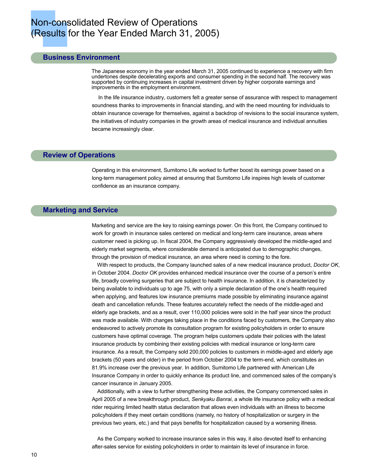### Non-consolidated Review of Operations (Results for the Year Ended March 31, 2005)

### **Business Environment**

The Japanese economy in the year ended March 31, 2005 continued to experience a recovery with firm undertones despite decelerating exports and consumer spending in the second half. The recovery was supported by continuing increases in capital investment driven by higher corporate earnings and improvements in the employment environment.

In the life insurance industry, customers felt a greater sense of assurance with respect to management soundness thanks to improvements in financial standing, and with the need mounting for individuals to obtain insurance coverage for themselves, against a backdrop of revisions to the social insurance system, the initiatives of industry companies in the growth areas of medical insurance and individual annuities became increasingly clear.

### **Review of Operations**

Operating in this environment, Sumitomo Life worked to further boost its earnings power based on a long-term management policy aimed at ensuring that Sumitomo Life inspires high levels of customer confidence as an insurance company.

### **Marketing and Service**

Marketing and service are the key to raising earnings power. On this front, the Company continued to work for growth in insurance sales centered on medical and long-term care insurance, areas where customer need is picking up. In fiscal 2004, the Company aggressively developed the middle-aged and elderly market segments, where considerable demand is anticipated due to demographic changes, through the provision of medical insurance, an area where need is coming to the fore.

With respect to products, the Company launched sales of a new medical insurance product, *Doctor OK*, in October 2004. *Doctor OK* provides enhanced medical insurance over the course of a person's entire life, broadly covering surgeries that are subject to health insurance. In addition, it is characterized by being available to individuals up to age 75, with only a simple declaration of the one's health required when applying, and features low insurance premiums made possible by eliminating insurance against death and cancellation refunds. These features accurately reflect the needs of the middle-aged and elderly age brackets, and as a result, over 110,000 policies were sold in the half year since the product was made available. With changes taking place in the conditions faced by customers, the Company also endeavored to actively promote its consultation program for existing policyholders in order to ensure customers have optimal coverage. The program helps customers update their policies with the latest insurance products by combining their existing policies with medical insurance or long-term care insurance. As a result, the Company sold 200,000 policies to customers in middle-aged and elderly age brackets (50 years and older) in the period from October 2004 to the term-end, which constitutes an 81.9% increase over the previous year. In addition, Sumitomo Life partnered with American Life Insurance Company in order to quickly enhance its product line, and commenced sales of the company's cancer insurance in January 2005.

Additionally, with a view to further strengthening these activities, the Company commenced sales in April 2005 of a new breakthrough product, *Senkyaku Banrai*, a whole life insurance policy with a medical rider requiring limited health status declaration that allows even individuals with an illness to become policyholders if they meet certain conditions (namely, no history of hospitalization or surgery in the previous two years, etc.) and that pays benefits for hospitalization caused by a worsening illness.

As the Company worked to increase insurance sales in this way, it also devoted itself to enhancing after-sales service for existing policyholders in order to maintain its level of insurance in force.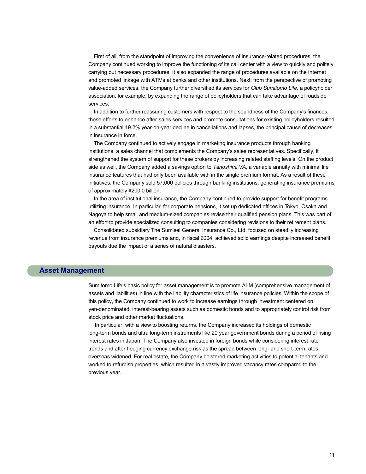First of all, from the standpoint of improving the convenience of insurance-related procedures, the Company continued working to improve the functioning of its call center with a view to quickly and politely carrying out necessary procedures. It also expanded the range of procedures available on the Internet and promoted linkage with ATMs at banks and other institutions. Next, from the perspective of promoting value-added services, the Company further diversified its services for *Club Sumitomo Life*, a policyholder association, for example, by expanding the range of policyholders that can take advantage of roadside services.

In addition to further reassuring customers with respect to the soundness of the Company's finances, these efforts to enhance after-sales services and promote consultations for existing policyholders resulted in a substantial 19.2% year-on-year decline in cancellations and lapses, the principal cause of decreases in insurance in force.

The Company continued to actively engage in marketing insurance products through banking institutions, a sales channel that complements the Company's sales representatives. Specifically, it strengthened the system of support for these brokers by increasing related staffing levels. On the product side as well, the Company added a savings option to *Tanoshimi VA*, a variable annuity with minimal life insurance features that had only been available with in the single premium format. As a result of these initiatives, the Company sold 57,000 policies through banking institutions, generating insurance premiums of approximately ¥200.0 billion.

In the area of institutional insurance, the Company continued to provide support for benefit programs utilizing insurance. In particular, for corporate pensions, it set up dedicated offices in Tokyo, Osaka and Nagoya to help small and medium-sized companies revise their qualified pension plans. This was part of an effort to provide specialized consulting to companies considering revisions to their retirement plans.

Consolidated subsidiary The Sumisei General Insurance Co., Ltd. focused on steadily increasing revenue from insurance premiums and, in fiscal 2004, achieved solid earnings despite increased benefit payouts due the impact of a series of natural disasters.

### **Asset Management**

Sumitomo Life's basic policy for asset management is to promote ALM (comprehensive management of assets and liabilities) in line with the liability characteristics of life insurance policies. Within the scope of this policy, the Company continued to work to increase earnings through investment centered on yen-denominated, interest-bearing assets such as domestic bonds and to appropriately control risk from stock price and other market fluctuations.

In particular, with a view to boosting returns, the Company increased its holdings of domestic long-term bonds and ultra long-term instruments like 20 year government bonds during a period of rising interest rates in Japan. The Company also invested in foreign bonds while considering interest rate trends and after hedging currency exchange risk as the spread between long- and short-term rates overseas widened. For real estate, the Company bolstered marketing activities to potential tenants and worked to refurbish properties, which resulted in a vastly improved vacancy rates compared to the previous year.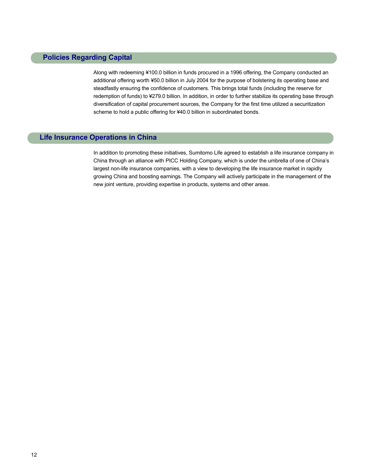### **Policies Regarding Capital**

Along with redeeming ¥100.0 billion in funds procured in a 1996 offering, the Company conducted an additional offering worth ¥50.0 billion in July 2004 for the purpose of bolstering its operating base and steadfastly ensuring the confidence of customers. This brings total funds (including the reserve for redemption of funds) to ¥279.0 billion. In addition, in order to further stabilize its operating base through diversification of capital procurement sources, the Company for the first time utilized a securitization scheme to hold a public offering for ¥40.0 billion in subordinated bonds.

### **Life Insurance Operations in China**

In addition to promoting these initiatives, Sumitomo Life agreed to establish a life insurance company in China through an alliance with PICC Holding Company, which is under the umbrella of one of China's largest non-life insurance companies, with a view to developing the life insurance market in rapidly growing China and boosting earnings. The Company will actively participate in the management of the new joint venture, providing expertise in products, systems and other areas.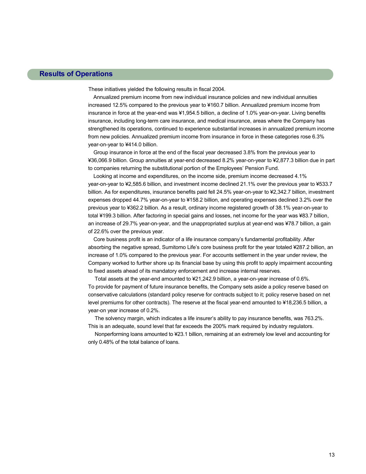### **Results of Operations**

These initiatives yielded the following results in fiscal 2004.

 Annualized premium income from new individual insurance policies and new individual annuities increased 12.5% compared to the previous year to ¥160.7 billion. Annualized premium income from insurance in force at the year-end was ¥1,954.5 billion, a decline of 1.0% year-on-year. Living benefits insurance, including long-term care insurance, and medical insurance, areas where the Company has strengthened its operations, continued to experience substantial increases in annualized premium income from new policies. Annualized premium income from insurance in force in these categories rose 6.3% year-on-year to ¥414.0 billion.

Group insurance in force at the end of the fiscal year decreased 3.8% from the previous year to ¥36,066.9 billion. Group annuities at year-end decreased 8.2% year-on-year to ¥2,877.3 billion due in part to companies returning the substitutional portion of the Employees' Pension Fund.

Looking at income and expenditures, on the income side, premium income decreased 4.1% year-on-year to ¥2,585.6 billion, and investment income declined 21.1% over the previous year to ¥533.7 billion. As for expenditures, insurance benefits paid fell 24.5% year-on-year to ¥2,342.7 billion, investment expenses dropped 44.7% year-on-year to ¥158.2 billion, and operating expenses declined 3.2% over the previous year to ¥362.2 billion. As a result, ordinary income registered growth of 38.1% year-on-year to total ¥199.3 billion. After factoring in special gains and losses, net income for the year was ¥83.7 billion, an increase of 29.7% year-on-year, and the unappropriated surplus at year-end was ¥78.7 billion, a gain of 22.6% over the previous year.

Core business profit is an indicator of a life insurance company's fundamental profitability. After absorbing the negative spread, Sumitomo Life's core business profit for the year totaled ¥287.2 billion, an increase of 1.0% compared to the previous year. For accounts settlement in the year under review, the Company worked to further shore up its financial base by using this profit to apply impairment accounting to fixed assets ahead of its mandatory enforcement and increase internal reserves.

Total assets at the year-end amounted to ¥21,242.9 billion, a year-on-year increase of 0.6%. To provide for payment of future insurance benefits, the Company sets aside a policy reserve based on conservative calculations (standard policy reserve for contracts subject to it; policy reserve based on net level premiums for other contracts). The reserve at the fiscal year-end amounted to ¥18,236.5 billion, a year-on year increase of 0.2%.

The solvency margin, which indicates a life insurer's ability to pay insurance benefits, was 763.2%. This is an adequate, sound level that far exceeds the 200% mark required by industry regulators.

Nonperforming loans amounted to ¥23.1 billion, remaining at an extremely low level and accounting for only 0.48% of the total balance of loans.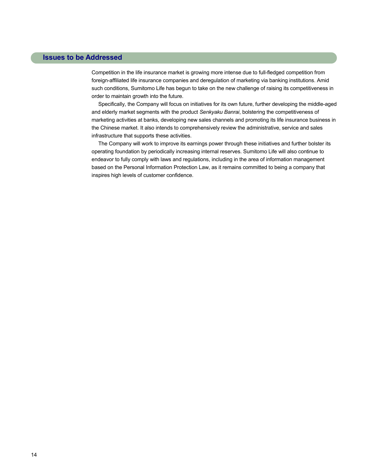### **Issues to be Addressed**

Competition in the life insurance market is growing more intense due to full-fledged competition from foreign-affiliated life insurance companies and deregulation of marketing via banking institutions. Amid such conditions, Sumitomo Life has begun to take on the new challenge of raising its competitiveness in order to maintain growth into the future.

Specifically, the Company will focus on initiatives for its own future, further developing the middle-aged and elderly market segments with the product *Senkyaku Banrai*, bolstering the competitiveness of marketing activities at banks, developing new sales channels and promoting its life insurance business in the Chinese market. It also intends to comprehensively review the administrative, service and sales infrastructure that supports these activities.

The Company will work to improve its earnings power through these initiatives and further bolster its operating foundation by periodically increasing internal reserves. Sumitomo Life will also continue to endeavor to fully comply with laws and regulations, including in the area of information management based on the Personal Information Protection Law, as it remains committed to being a company that inspires high levels of customer confidence.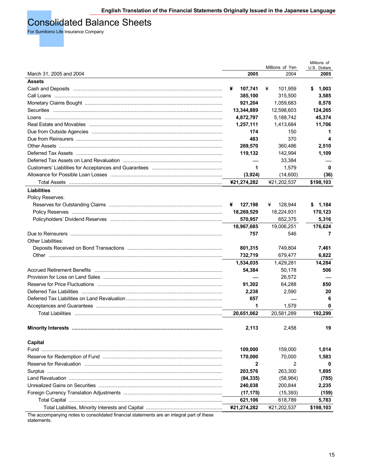### Consolidated Balance Sheets

For Sumitomo Life Insurance Company

|                                                                |              | Millions of Yen | Millions of<br>U.S. Dollars |
|----------------------------------------------------------------|--------------|-----------------|-----------------------------|
| March 31, 2005 and 2004                                        | 2005         | 2004            | 2005                        |
| <b>Assets</b>                                                  |              |                 |                             |
|                                                                | ¥<br>107,741 | ¥<br>101,959    | \$<br>1,003                 |
|                                                                | 385,100      | 315,500         | 3,585                       |
|                                                                | 921,204      | 1,059,683       | 8,578                       |
|                                                                | 13,344,889   | 12,598,603      | 124,265                     |
|                                                                | 4,872,797    | 5,188,742       | 45,374                      |
|                                                                | 1,257,111    | 1,413,684       | 11,706                      |
|                                                                | 174          | 150             | 1                           |
|                                                                | 483          | 370             | 4                           |
|                                                                | 269,570      | 360,486         | 2,510                       |
|                                                                | 119,132      | 142,994         | 1,109                       |
|                                                                |              | 33,384          |                             |
|                                                                | 1            | 1,579           | 0                           |
|                                                                | (3,924)      | (14,600)        | (36)                        |
|                                                                | ¥21,274,282  | ¥21,202,537     | \$198,103                   |
|                                                                |              |                 |                             |
| Liabilities                                                    |              |                 |                             |
| Policy Reserves:                                               |              |                 |                             |
|                                                                | ¥<br>127,198 | 128,944<br>¥    | \$1,184                     |
|                                                                | 18,269,529   | 18,224,931      | 170,123                     |
|                                                                | 570,957      | 652,375         | 5,316                       |
|                                                                | 18,967,685   | 19,006,251      | 176,624                     |
|                                                                | 757          | 546             | 7                           |
| <b>Other Liabilities:</b>                                      |              |                 |                             |
|                                                                | 801,315      | 749,804         | 7,461                       |
|                                                                | 732,719      | 679,477         | 6,822                       |
|                                                                | 1,534,035    | 1,429,281       | 14,284                      |
| Accrued Retirement Benefits ………………………………………………………………………………………… | 54,384       | 50,178          | 506                         |
|                                                                |              | 26,572          |                             |
|                                                                | 91,302       | 64,288          | 850                         |
|                                                                | 2,238        | 2,590           | 20                          |
|                                                                | 657          |                 | 6                           |
|                                                                | 1            | 1,579           | 0                           |
| Total Liabilities ………………………………………………………………………………………            | 20,651,062   | 20,581,289      | 192,299                     |
|                                                                | 2,113        | 2,458           | 19                          |
| Capital                                                        |              |                 |                             |
| Fund                                                           | 109,000      | 159,000         | 1,014                       |
|                                                                | 170,000      | 70,000          | 1,583                       |
|                                                                | 2            | 2               | 0                           |
|                                                                | 203,576      | 263,300         | 1,895                       |
|                                                                | (84, 335)    | (58, 964)       | (785)                       |
|                                                                | 240,038      | 200,844         | 2,235                       |
|                                                                | (17, 175)    | (15, 393)       | (159)                       |
|                                                                | 621,106      | 618,789         | 5,783                       |
|                                                                | ¥21,274,282  | ¥21,202,537     | \$198,103                   |
|                                                                |              |                 |                             |

The accompanying notes to consolidated financial statements are an integral part of these statements.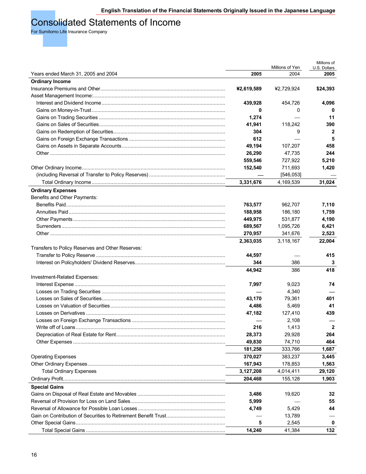### Consolidated Statements of Income

For Sumitomo Life Insurance Company

|                                                  |            | Millions of Yen | Millions of<br>U.S. Dollars |
|--------------------------------------------------|------------|-----------------|-----------------------------|
| Years ended March 31, 2005 and 2004              | 2005       | 2004            | 2005                        |
| <b>Ordinary Income</b>                           |            |                 |                             |
|                                                  | ¥2,619,589 | ¥2,729,924      | \$24,393                    |
|                                                  |            |                 |                             |
|                                                  | 439,928    | 454,726         | 4,096                       |
|                                                  | 0          | 0               | 0                           |
|                                                  | 1,274      |                 | 11                          |
|                                                  | 41,941     | 118,242         | 390                         |
|                                                  | 304        | 9               | 2                           |
|                                                  | 612        |                 | 5                           |
|                                                  | 49,194     | 107.207         | 458                         |
|                                                  | 26,290     | 47,735          | 244                         |
|                                                  | 559,546    | 727,922         | 5,210                       |
|                                                  | 152,540    | 711,693         | 1,420                       |
|                                                  |            | [546, 053]      |                             |
|                                                  | 3,331,676  | 4,169,539       | 31,024                      |
| <b>Ordinary Expenses</b>                         |            |                 |                             |
| Benefits and Other Payments:                     |            |                 |                             |
|                                                  | 763,577    | 962,707         | 7,110                       |
|                                                  | 188,958    | 186,180         | 1,759                       |
|                                                  | 449,975    | 531,877         | 4,190                       |
|                                                  | 689,567    | 1,095,726       | 6,421                       |
|                                                  | 270,957    | 341,676         | 2,523                       |
|                                                  | 2,363,035  | 3,118,167       | 22,004                      |
| Transfers to Policy Reserves and Other Reserves: |            |                 |                             |
|                                                  | 44,597     |                 | 415                         |
|                                                  | 344        | 386             | 3                           |
|                                                  | 44,942     | 386             | 418                         |
| Investment-Related Expenses:                     |            |                 |                             |
|                                                  | 7,997      | 9,023           | 74                          |
|                                                  |            | 4,340           |                             |
|                                                  | 43,170     | 79,361          | 401                         |
|                                                  | 4,486      | 5,469           | 41                          |
|                                                  | 47,182     | 127,410         | 439                         |
|                                                  |            | 2,108           |                             |
|                                                  | 216        | 1,413           | $\mathbf{2}$                |
|                                                  | 28,373     | 29,928          | 264                         |
|                                                  | 49,830     | 74,710          | 464                         |
|                                                  | 181,258    | 333,766         | 1,687                       |
| <b>Operating Expenses</b>                        | 370,027    | 383,237         | 3,445                       |
|                                                  | 167,943    | 178,853         | 1,563                       |
| <b>Total Ordinary Expenses</b>                   | 3,127,208  | 4,014,411       | 29,120                      |
|                                                  | 204,468    | 155,128         | 1,903                       |
| <b>Special Gains</b>                             |            |                 |                             |
|                                                  | 3,486      | 19,620          | 32                          |
|                                                  | 5,999      |                 | 55                          |
|                                                  | 4,749      | 5,429           | 44                          |
|                                                  |            | 13,789          |                             |
|                                                  | 5          | 2,545           | 0                           |
|                                                  | 14,240     | 41,384          | 132                         |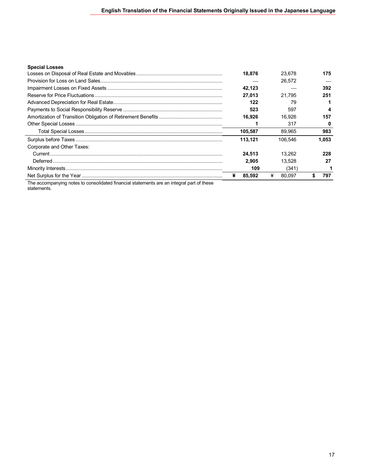### **Special Losses**

|                            | 18.876  | 23.678      | 175   |
|----------------------------|---------|-------------|-------|
|                            |         | 26.572      |       |
|                            | 42.123  |             | 392   |
|                            | 27.013  | 21.795      | 251   |
|                            | 122     | 79          |       |
|                            | 523     | 597         | 4     |
|                            | 16.926  | 16.926      | 157   |
|                            |         | 317         | 0     |
|                            | 105,587 | 89.965      | 983   |
|                            | 113.121 | 106.546     | 1.053 |
| Corporate and Other Taxes: |         |             |       |
|                            | 24.513  | 13.262      | 228   |
|                            | 2.905   | 13.528      | 27    |
|                            | 109     | (341)       |       |
|                            | 85.592  | ¥<br>80.097 | 797   |

The accompanying notes to consolidated financial statements are an integral part of these statements.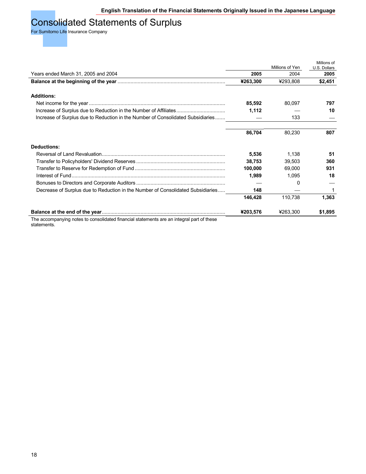### Consolidated Statements of Surplus

For Sumitomo Life Insurance Company

|                                                                                           |          | Millions of Yen | Millions of<br>U.S. Dollars |
|-------------------------------------------------------------------------------------------|----------|-----------------|-----------------------------|
| Years ended March 31, 2005 and 2004                                                       | 2005     | 2004            | 2005                        |
|                                                                                           | ¥263,300 | ¥293,808        | \$2,451                     |
| <b>Additions:</b>                                                                         |          |                 |                             |
|                                                                                           | 85,592   | 80,097          | 797                         |
| Increase of Surplus due to Reduction in the Number of Affiliates                          | 1,112    |                 | 10                          |
| Increase of Surplus due to Reduction in the Number of Consolidated Subsidiaries           |          | 133             |                             |
|                                                                                           | 86,704   | 80,230          | 807                         |
| <b>Deductions:</b>                                                                        |          |                 |                             |
|                                                                                           | 5,536    | 1,138           | 51                          |
|                                                                                           | 38,753   | 39,503          | 360                         |
|                                                                                           | 100,000  | 69,000          | 931                         |
|                                                                                           | 1,989    | 1,095           | 18                          |
|                                                                                           |          | $\Omega$        |                             |
| Decrease of Surplus due to Reduction in the Number of Consolidated Subsidiaries           | 148      |                 |                             |
|                                                                                           | 146,428  | 110,738         | 1,363                       |
|                                                                                           | ¥203,576 | ¥263,300        | \$1,895                     |
| The accompanying notes to consolidated financial statements are an integral part of these |          |                 |                             |

The accompanying notes to consolidated financial statements are an integral part of these statements.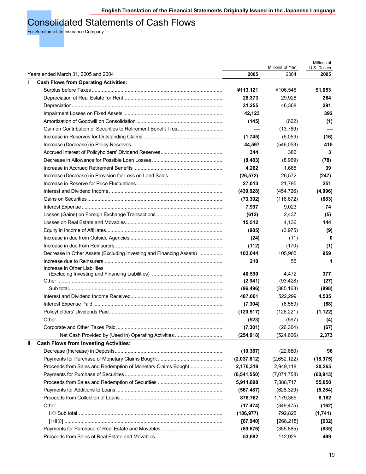### Consolidated Statements of Cash Flows

For Sumitomo Life Insurance Company

|                                                                     |               | Millions of Yen | Millions of<br>U.S. Dollars |
|---------------------------------------------------------------------|---------------|-----------------|-----------------------------|
| Years ended March 31, 2005 and 2004                                 | 2005          | 2004            | 2005                        |
| <b>Cash Flows from Operating Activities:</b><br>$\mathbf{I}$        |               |                 |                             |
|                                                                     | ¥113,121      | ¥106,546        | \$1,053                     |
|                                                                     | 28,373        | 29,928          | 264                         |
|                                                                     | 31,255        | 46,368          | 291                         |
|                                                                     | 42,123        |                 | 392                         |
|                                                                     | (145)         | (662)           | (1)                         |
|                                                                     |               | (13,789)        |                             |
|                                                                     | (1,745)       | (6,059)         | (16)                        |
|                                                                     | 44,597        | (546, 053)      | 415                         |
|                                                                     | 344           | 386             | 3                           |
|                                                                     | (8, 483)      | (8,969)         | (78)                        |
|                                                                     | 4,262         | 1,665           | 39                          |
|                                                                     | (26, 572)     | 26,572          | (247)                       |
|                                                                     | 27,013        | 21,795          | 251                         |
|                                                                     | (439, 928)    | (454, 726)      | (4,096)                     |
|                                                                     | (73, 392)     | (116, 672)      | (683)                       |
|                                                                     | 7,997         | 9,023           | 74                          |
|                                                                     | (612)         | 2,437           | (5)                         |
|                                                                     | 15,512        | 4,136           | 144                         |
|                                                                     | (985)         | (3,975)         | (9)                         |
|                                                                     | (24)          | (11)            | 0                           |
|                                                                     | (112)         | (170)           | (1)                         |
| Decrease in Other Assets (Excluding Investing and Financing Assets) | 103,044       | 105,965         | 959                         |
|                                                                     | 210           | 55              | 1                           |
| Increase in Other Liabilities                                       |               |                 |                             |
|                                                                     | 40,590        | 4,472           | 377                         |
|                                                                     | (2,941)       | (93, 428)       | (27)                        |
|                                                                     | (96, 496)     | (885, 163)      | (898)                       |
|                                                                     | 487,061       | 522,299         | 4,535                       |
|                                                                     | (7, 304)      | (8,559)         | (68)                        |
|                                                                     | (120, 517)    | (126, 221)      | (1, 122)                    |
|                                                                     | (523)         | (597)           | (4)                         |
|                                                                     | (7, 301)      | (26, 364)       | (67)                        |
|                                                                     | (254, 918)    | (524, 606)      | 2,373                       |
| <b>Cash Flows from Investing Activities:</b><br>Ш                   |               |                 |                             |
|                                                                     | (10, 367)     | (22,680)        | 96                          |
|                                                                     | (2,037,812)   | (2,652,122)     | (18, 975)                   |
| Proceeds from Sales and Redemption of Monetary Claims Bought        | 2,176,318     | 2,949,118       | 20,265                      |
|                                                                     | (6, 541, 550) | (7,071,758)     | (60, 913)                   |
|                                                                     | 5,911,898     | 7,388,717       | 55,050                      |
|                                                                     | (567, 487)    | (628, 329)      | (5, 284)                    |
|                                                                     | 878,762       | 1,179,355       | 8,182                       |
|                                                                     | (17, 474)     | (349, 475)      | (162)                       |
|                                                                     | (186, 977)    | 792,825         | (1,741)                     |
|                                                                     | [67, 940]     | [268, 218]      | $[632]$                     |
|                                                                     | (89, 676)     | (355, 885)      | (835)                       |
|                                                                     | 53,682        | 112,929         | 499                         |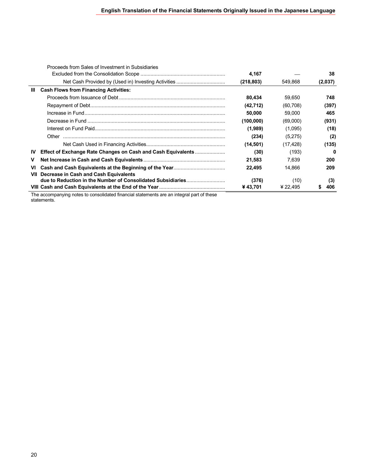|           | Proceeds from Sales of Investment in Subsidiaries                                         |            |           |         |
|-----------|-------------------------------------------------------------------------------------------|------------|-----------|---------|
|           |                                                                                           | 4,167      |           | 38      |
|           |                                                                                           | (218, 803) | 549,868   | (2,037) |
| Ш         | <b>Cash Flows from Financing Activities:</b>                                              |            |           |         |
|           |                                                                                           | 80,434     | 59,650    | 748     |
|           |                                                                                           | (42, 712)  | (60, 708) | (397)   |
|           |                                                                                           | 50.000     | 59,000    | 465     |
|           |                                                                                           | (100,000)  | (69,000)  | (931)   |
|           |                                                                                           | (1,989)    | (1,095)   | (18)    |
|           |                                                                                           | (234)      | (5,275)   | (2)     |
|           |                                                                                           | (14, 501)  | (17, 428) | (135)   |
| <b>IV</b> | <b>Effect of Exchange Rate Changes on Cash and Cash Equivalents </b>                      | (30)       | (193)     | 0       |
| v         |                                                                                           | 21,583     | 7,639     | 200     |
| VI        |                                                                                           | 22.495     | 14.866    | 209     |
| VII       | Decrease in Cash and Cash Equivalents                                                     |            |           |         |
|           |                                                                                           | (376)      | (10)      | (3)     |
|           |                                                                                           | ¥ 43,701   | ¥ 22.495  | 406     |
|           | The accompanying potes to consolidated financial etatements are an integral part of these |            |           |         |

The accompanying notes to consolidated financial statements are an integral part of these statements.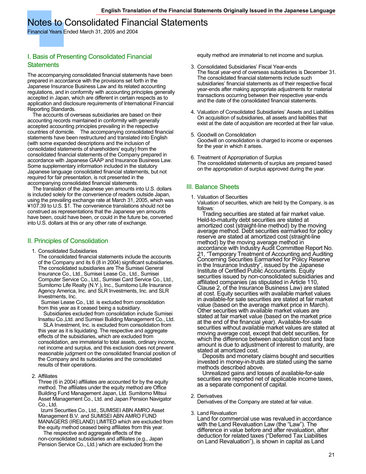### Notes to Consolidated Financial Statements

Financial Years Ended March 31, 2005 and 2004

### I. Basis of Presenting Consolidated Financial **Statements**

The accompanying consolidated financial statements have been prepared in accordance with the provisions set forth in the Japanese Insurance Business Law and its related accounting regulations, and in conformity with accounting principles generally accepted in Japan, which are different in certain respects as to application and disclosure requirements of International Financial Reporting Standards.

 The accounts of overseas subsidiaries are based on their accounting records maintained in conformity with generally accepted accounting principles prevailing in the respective countries of domicile. The accompanying consolidated financial statements have been restructured and translated into English (with some expanded descriptions and the inclusion of consolidated statements of shareholders' equity) from the consolidated financial statements of the Company prepared in accordance with Japanese GAAP and Insurance Business Law. Some supplementary information included in the statutory Japanese language consolidated financial statements, but not required for fair presentation, is not presented in the accompanying consolidated financial statements.

 The translation of the Japanese yen amounts into U.S. dollars is included solely for the convenience of readers outside Japan, using the prevailing exchange rate at March 31, 2005, which was ¥107.39 to U.S. \$1. The convenience translations should not be construed as representations that the Japanese yen amounts have been, could have been, or could in the future be, converted into U.S. dollars at this or any other rate of exchange.

### II. Principles of Consolidation

1. Consolidated Subsidiaries

The consolidated financial statements include the accounts of the Company and its 6 (8 in 2004) significant subsidiaries. The consolidated subsidiaries are The Sumisei General Insurance Co., Ltd., Sumisei Lease Co., Ltd., Sumisei Computer Service Co., Ltd., Sumisei Card Service Co., Ltd., Sumitomo Life Realty (N.Y.), Inc., Sumitomo Life Insurance Agency America, Inc. and SLR Investments, Inc. and SLR Investments, Inc.

Sumisei Lease Co., Ltd. is excluded from consolidation from this year as it ceased being a subsidiary.

 Subsidiaries excluded from consolidation include Sumisei Insatsu Co.,Ltd. and Sumisei Building Management Co., Ltd.

 SLA Investment, Inc. is excluded from consolidation from this year as it is liquidating. The respective and aggregate effects of the subsidiaries, which are excluded from consolidation, are immaterial to total assets, ordinary income, net income and surplus, and this exclusion does not prevent reasonable judgment on the consolidated financial position of the Company and its subsidiaries and the consolidated results of their operations.

2. Affiliates

Three (6 in 2004) affiliates are accounted for by the equity method. The affiliates under the equity method are Office Building Fund Management Japan, Ltd. Sumitomo Mitsui Asset Management Co., Ltd. and Japan Pension Navigator Co., Ltd.

Izumi Securities Co., Ltd., SUMISEI ABN AMRO Asset Management B.V. and SUMISEI ABN AMRO FUND MANAGERS (IRELAND) LIMITED which are excluded from the equity method ceased being affiliates from this year.

 The respective and aggregate effects of the non-consolidated subsidiaries and affiliates (e.g., Japan Pension Service Co., Ltd.) which are excluded from the equity method are immaterial to net income and surplus.

- 3. Consolidated Subsidiaries' Fiscal Year-ends The fiscal year-end of overseas subsidiaries is December 31. The consolidated financial statements include such subsidiaries' financial statements as of their respective fiscal year-ends after making appropriate adjustments for material transactions occurring between their respective year-ends and the date of the consolidated financial statements.
- 4. Valuation of Consolidated Subsidiaries' Assets and Liabilities On acquisition of subsidiaries, all assets and liabilities that exist at the date of acquisition are recorded at their fair value.
- 5. Goodwill on Consolidation Goodwill on consolidation is charged to income or expenses for the year in which it arises.
- 6. Treatment of Appropriation of Surplus The consolidated statements of surplus are prepared based on the appropriation of surplus approved during the year.

### III. Balance Sheets

1. Valuation of Securities Valuation of securities, which are held by the Company, is as follows:

 Trading securities are stated at fair market value. Held-to-maturity debt securities are stated at amortized cost (straight-line method) by the moving average method. Debt securities earmarked for policy reserve are stated at amortized cost (straight-line method) by the moving average method in accordance with Industry Audit Committee Report No. 21, "Temporary Treatment of Accounting and Auditing Concerning Securities Earmarked for Policy Reserve in the Insurance Industry", issued by the Japanese Institute of Certified Public Accountants. Equity securities issued by non-consolidated subsidiaries and affiliated companies (as stipulated in Article 110, Clause 2, of the Insurance Business Law) are stated at cost. Equity securities with available market values in available-for sale securities are stated at fair market value (based on the average market price in March). Other securities with available market values are stated at fair market value (based on the market price at the end of the financial year). Available-for-sale securities without available market values are stated at moving average cost, except that debt securities, for which the difference between acquisition cost and face amount is due to adjustment of interest to maturity, are stated at amortized cost.

 Deposits and monetary claims bought and securities invested in money-in-trusts are stated using the same methods described above.

 Unrealized gains and losses of available-for-sale securities are reported net of applicable income taxes, as a separate component of capital.

### 2. Derivatives

Derivatives of the Company are stated at fair value.

3. Land Revaluation

Land for commercial use was revalued in accordance with the Land Revaluation Law (the "Law"). The difference in value before and after revaluation, after deduction for related taxes ("Deferred Tax Liabilities on Land Revaluation"), is shown in capital as Land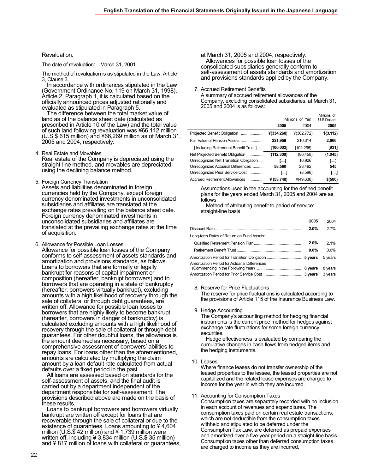### Revaluation.

The date of revaluation: March 31, 2001

The method of revaluation is as stipulated in the Law, Article 3, Clause 3.

 In accordance with ordinances stipulated in the Law (Government Ordinance No. 119 on March 31, 1998), Article 2, Paragraph 1, it is calculated based on the officially announced prices adjusted rationally and evaluated as stipulated in Paragraph 5.

 The difference between the total market value of land as of the balance sheet date (calculated as prescribed in Article 10 of the Law) and the total value of such land following revaluation was ¥66,112 million (U.S.\$ 615 million) and ¥66,269 million as of March 31, 2005 and 2004, respectively.

4. Real Estate and Movables

Real estate of the Company is depreciated using the straight-line method, and movables are depreciated using the declining balance method.

5. Foreign Currency Translation

Assets and liabilities denominated in foreign currencies held by the Company, except foreign currency denominated investments in unconsolidated subsidiaries and affiliates are translated at the exchange rates prevailing on the balance sheet date. Foreign currency denominated investments in unconsolidated subsidiaries and affiliates are translated at the prevailing exchange rates at the time of acquisition.

6. Allowance for Possible Loan Losses

Allowance for possible loan losses of the Company conforms to self-assessment of assets standards and amortization and provisions standards, as follows. Loans to borrowers that are formally or legally bankrupt for reasons of capital impairment or composition (hereafter, bankrupt borrowers) and to borrowers that are operating in a state of bankruptcy (hereafter, borrowers virtually bankrupt), excluding amounts with a high likelihood of recovery through the sale of collateral or through debt guarantees, are written off. Allowance for possible loan losses to borrowers that are highly likely to become bankrupt (hereafter, borrowers in danger of bankruptcy) is calculated excluding amounts with a high likelihood of recovery through the sale of collateral or through debt guarantees. For other doubtful loans, the allowance is the amount deemed as necessary, based on a comprehensive assessment of borrowers' abilities to repay loans. For loans other than the aforementioned, amounts are calculated by multiplying the claim amount by a loan default rate calculated from actual defaults over a fixed period in the past.

 All loans are assessed based on standards for the self-assessment of assets, and the final audit is carried out by a department independent of the department responsible for self-assessment. The provisions described above are made on the basis of these results.

 Loans to bankrupt borrowers and borrowers virtually bankrupt are written off except for loans that are recoverable through the sale of collateral or due to the existence of guarantees. Loans amounting to ¥ 4,604 million (U.S. $$$ 42 million) and ¥ 1,739 million were written off, including ¥ 3,834 million (U.S.\$ 35 million) and  $4817$  million of loans with collateral or guarantees, at March 31, 2005 and 2004, respectively. Allowances for possible loan losses of the consolidated subsidiaries generally conform to self-assessment of assets standards and amortization and provisions standards applied by the Company.

7. Accrued Retirement Benefits

A summary of accrued retirement allowances of the Company, excluding consolidated subsidiaries, at March 31, 2005 and 2004 is as follows:

|                                        | Millions of Yen | Millions of<br>U.S.Dollars |            |
|----------------------------------------|-----------------|----------------------------|------------|
|                                        | 2005            | 2004                       | 2005       |
| Projected Benefit Obligation           | ¥(334,268)      | $*(302, 772)$              | \$(3, 112) |
| Fair Value of Pension Assets           | 221,959         | 216,314                    | 2,066      |
| [Including Retirement Benefit Trust]   | [100,002]       | [102,295]                  | [931]      |
| Net Projected Benefit Obligation       | (112, 309)      | (86, 458)                  | (1,045)    |
| Unrecognized Net Transition Obligation | ⊢               | 16,926                     | Н          |
| Unrecognized Actuarial Differences     | 58,560          | 28,492                     | 545        |
| Unrecognized Prior Service Cost        | ⊢               | (8,596)                    | Н          |
| Accrued Retirement Allowances          | ¥ (53,748)      | $*(49, 636)$               | \$ (500)   |

Assumptions used in the accounting for the defined benefit plans for the years ended March 31, 2005 and 2004 are as follows:

 Method of attributing benefit to period of service: straight-line basis

|                                               | 2005    | 2004    |
|-----------------------------------------------|---------|---------|
|                                               | 2.0%    | 2.7%    |
| Long-term Rates of Return on Fund Assets:     |         |         |
|                                               | 2.0%    | 2.1%    |
|                                               | $0.0\%$ | $0.0\%$ |
|                                               |         | 5 years |
| Amortization Period for Actuarial Differences |         | 8 years |
|                                               |         | 3 years |

#### 8. Reserve for Price Fluctuations

The reserve for price fluctuations is calculated according to the provisions of Article 115 of the Insurance Business Law.

9. Hedge Accounting

The Company's accounting method for hedging financial instruments is the current price method for hedges against exchange rate fluctuations for some foreign currency securities.

 Hedge effectiveness is evaluated by comparing the cumulative changes in cash flows from hedged items and the hedging instruments.

10. Leases

Where finance leases do not transfer ownership of the leased properties to the lessee, the leased properties are not capitalized and the related lease expenses are charged to income for the year in which they are incurred.

#### 11. Accounting for Consumption Taxes

Consumption taxes are separately recorded with no inclusion in each account of revenues and expenditures. The consumption taxes paid on certain real estate transactions, which are not deductible from the consumption taxes withheld and stipulated to be deferred under the Consumption Tax Law, are deferred as prepaid expenses and amortized over a five-year period on a straight-line basis. Consumption taxes other than deferred consumption taxes are charged to income as they are incurred.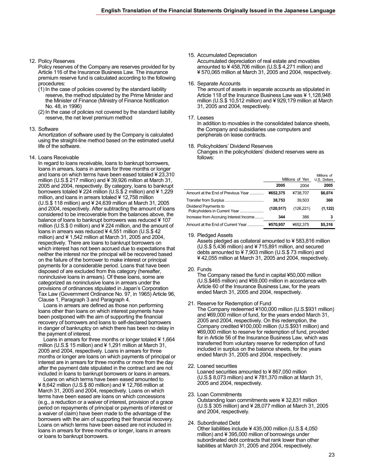12. Policy Reserves

Policy reserves of the Company are reserves provided for by Article 116 of the Insurance Business Law. The insurance premium reserve fund is calculated according to the following procedures:

- (1) In the case of policies covered by the standard liability reserve, the method stipulated by the Prime Minister and the Minister of Finance (Ministry of Finance Notification No. 48, in 1996)
- (2) In the case of policies not covered by the standard liability reserve, the net level premium method

#### 13. Software

Amortization of software used by the Company is calculated using the straight-line method based on the estimated useful life of the software.

14. Loans Receivable

In regard to loans receivable, loans to bankrupt borrowers, loans in arrears, loans in arrears for three months or longer and loans on which terms have been eased totaled ¥ 23,310 million (U.S.\$ 217 million) and ¥ 39,926 million at March 31, 2005 and 2004, respectively. By category, loans to bankrupt borrowers totaled ¥ 224 million (U.S.\$ 2 million) and ¥ 1,229 million, and loans in arrears totaled ¥ 12,758 million (U.S.\$ 118 million) and ¥ 24,639 million at March 31, 2005 and 2004, respectively. After subtracting the amount of loans considered to be irrecoverable from the balances above, the balance of loans to bankrupt borrowers was reduced ¥ 107 million (U.S.\$ 0 million) and ¥ 224 million, and the amount of loans in arrears was reduced ¥ 4,551 million (U.S.\$ 42 million) and ¥ 1,542 million at March 31, 2005 and 2004, respectively. There are loans to bankrupt borrowers on which interest has not been accrued due to expectations that neither the interest nor the principal will be recovered based on the failure of the borrower to make interest or principal payments for a considerable period. Loans that have been disposed of are excluded from this category (hereafter, noninclusive loans in arrears). Of these loans, some are categorized as noninclusive loans in arrears under the provisions of ordinances stipulated in Japan's Corporation Tax Law (Government Ordinance No. 97, in 1965) Article 96, Clause 1, Paragraph 3 and Paragraph 4.

 Loans in arrears are defined as those non performing loans other than loans on which interest payments have been postponed with the aim of supporting the financial recovery of borrowers and loans to self-declared borrowers in danger of bankruptcy on which there has been no delay in the payment of interest.

 Loans in arrears for three months or longer totaled ¥ 1,664 million (U.S.\$ 15 million) and ¥ 1,291 million at March 31, 2005 and 2004, respectively. Loans in arrears for three months or longer are loans on which payments of principal or interest are in arrears for three months or more from the day after the payment date stipulated in the contract and are not included in loans to bankrupt borrowers or loans in arrears.

 Loans on which terms have been eased amounted to ¥ 8,642 million (U.S.\$ 80 million) and ¥ 12,766 million at March 31, 2005 and 2004, respectively. Loans on which terms have been eased are loans on which concessions (e.g., a reduction or a waiver of interest, provision of a grace period on repayments of principal or payments of interest or a waiver of claim) have been made to the advantage of the borrowers with the aim of supporting their financial recovery. Loans on which terms have been eased are not included in loans in arrears for three months or longer, loans in arrears or loans to bankrupt borrowers.

- 15. Accumulated Depreciation Accumulated depreciation of real estate and movables amounted to ¥ 458,706 million (U.S.\$ 4,271 million) and ¥ 570,065 million at March 31, 2005 and 2004, respectively.
- 16. Separate Accounts The amount of assets in separate accounts as stipulated in Article 118 of the Insurance Business Law was ¥ 1,128,948 million (U.S.\$ 10,512 million) and ¥ 929,179 million at March 31, 2005 and 2004, respectively.
- 17. Leases

In addition to movables in the consolidated balance sheets, the Company and subsidiaries use computers and peripherals on lease contracts.

18. Policyholders' Dividend Reserves Changes in the policyholders' dividend reserves were as follows:

|                                        | Millions of Yen | Millions of<br>U.S. Dollars |          |
|----------------------------------------|-----------------|-----------------------------|----------|
|                                        | 2005            | 2004                        | 2005     |
| Amount at the End of Previous Year     | ¥652.375        | ¥738.707                    | \$6,074  |
|                                        | 38,753          | 39.503                      | 360      |
| Dividend Payments to                   | (120.517)       | (126.221)                   | (1, 122) |
| Increase from Accruing Interest Income | 344             | 386                         | з        |
| Amount at the End of Current Year      | ¥570.957        | ¥652.375                    | \$5.316  |

19. Pledged Assets

Assets pledged as collateral amounted to ¥ 583,816 million (U.S.\$ 5,436 million) and ¥ 715,891 million, and secured debts amounted to ¥ 7,903 million (U.S.\$ 73 million) and ¥ 42,055 million at March 31, 2005 and 2004, respectively.

### 20. Funds

The Company raised the fund in capital ¥50,000 million (U.S.\$465 million) and ¥59,000 million in accordance with Article 60 of the Insurance Business Law, for the years ended March 31, 2005 and 2004, respectively.

21. Reserve for Redemption of Fund

The Company redeemed ¥100,000 million (U.S.\$931 million) and ¥69,000 million of fund, for the years ended March 31, 2005 and 2004, respectively. On this redemption, the Company credited ¥100,000 million (U.S.\$931 million) and ¥69,000 million to reserve for redemption of fund, provided for in Article 56 of the Insurance Business Law, which was transferred from voluntary reserve for redemption of fund included in surplus on the balance sheets, for the years ended March 31, 2005 and 2004, respectively.

- 22. Loaned securities Loaned securities amounted to ¥ 867,050 million (U.S.\$ 8,073 million) and ¥ 781,370 million at March 31, 2005 and 2004, respectively.
- 23. Loan Commitments Outstanding loan commitments were ¥ 32,831 million (U.S.\$ 305 million) and ¥ 28,077 million at March 31, 2005 and 2004, respectively.
- 24. Subordinated Debt Other liabilities include ¥ 435,000 million (U.S.\$ 4,050 million) and ¥ 395,000 million of borrowings under subordinated debt contracts that rank lower than other liabilities at March 31, 2005 and 2004, respectively.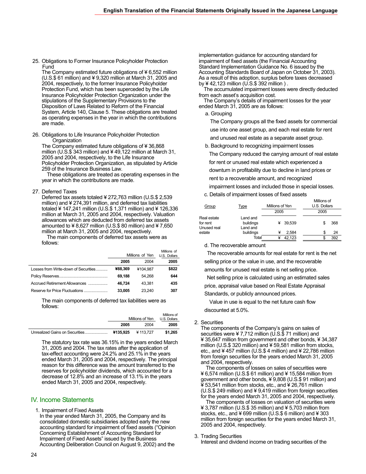25. Obligations to Former Insurance Policyholder Protection Fund

The Company estimated future obligations of ¥ 6,552 million (U.S.\$ 61 million) and ¥ 9,320 million at March 31, 2005 and 2004, respectively, to the former Insurance Policyholder Protection Fund, which has been superceded by the Life Insurance Policyholder Protection Organization under the stipulations of the Supplementary Provisions to the Disposition of Laws Related to Reform of the Financial System, Article 140, Clause 5. These obligations are treated as operating expenses in the year in which the contributions are made.

26. Obligations to Life Insurance Policyholder Protection **Organization** 

The Company estimated future obligations of ¥ 36,868 million (U.S.\$ 343 million) and ¥ 49,122 million at March 31, 2005 and 2004, respectively, to the Life Insurance Policyholder Protection Organization, as stipulated by Article 259 of the Insurance Business Law.

 These obligations are treated as operating expenses in the year in which the contributions are made.

### 27. Deferred Taxes

Deferred tax assets totaled ¥ 272,763 million (U.S.\$ 2,539 million) and ¥ 274,391 million, and deferred tax liabilities totaled ¥ 147,241 million (U.S.\$ 1,371 million) and ¥ 126,336 million at March 31, 2005 and 2004, respectively. Valuation allowances which are deducted from deferred tax assets amounted to  $\angle 8,627$  million (U.S.\$ 80 million) and  $\angle 7,650$ million at March 31, 2005 and 2004, respectively.

 The main components of deferred tax assets were as follows:

|                                      | Millions of Yen |          | Millions of<br>U.S. Dollars |
|--------------------------------------|-----------------|----------|-----------------------------|
|                                      | 2005            | 2004     | 2005                        |
| Losses from Write-down of Securities | ¥88.369         | ¥104.987 | \$822                       |
|                                      | 69.188          | 54.268   | 644                         |
| Accrued Retirement Allowances        | 46.724          | 43.381   | 435                         |
| Reserve for Price Fluctuations       | 33.005          | 23.240   | 307                         |

The main components of deferred tax liabilities were as follows:

|                                | Millions of Yen |          | Millions of<br>U.S. Dollars |
|--------------------------------|-----------------|----------|-----------------------------|
|                                | 2005            | 2004     | 2005                        |
| Unrealized Gains on Securities | ¥135.925        | ¥113.727 | \$1.265                     |

The statutory tax rate was 36.15% in the years ended March 31, 2005 and 2004. The tax rates after the application of tax-effect accounting were 24.2% and 25.1% in the years ended March 31, 2005 and 2004, respectively. The principal reason for this difference was the amount transferred to the reserves for policyholder dividends, which accounted for a decrease of 12.8% and an increase of 13.1% in the years ended March 31, 2005 and 2004, respectively.

### IV. Income Statements

1. Impairment of Fixed Assets

In the year ended March 31, 2005, the Company and its consolidated domestic subsidiaries adopted early the new accounting standard for impairment of fixed assets ("Opinion Concerning Establishment of Accounting Standard for Impairment of Fixed Assets" issued by the Business Accounting Deliberation Council on August 9, 2002) and the

implementation guidance for accounting standard for impairment of fixed assets (the Financial Accounting Standard Implementation Guidance No. 6 issued by the Accounting Standards Board of Japan on October 31, 2003). As a result of this adoption, surplus before taxes decreased by ¥ 42,123 million (U.S.\$ 392 million ) .

The accumulated impairment losses were directly deducted from each asset's acquisition cost.

The Company's details of impairment losses for the year ended March 31, 2005 are as follows:

### a. Grouping

The Company groups all the fixed assets for commercial use into one asset group, and each real estate for rent

and unused real estate as a separate asset group.

b. Background to recognizing impairment losses The Company reduced the carrying amount of real estate for rent or unused real estate which experienced a downturn in profitability due to decline in land prices or rent to a recoverable amount, and recognized impairment losses and included those in special losses.

c. Details of impairment losses of fixed assets

| Group                                  | Type                              | Millions of Yen |        | Millions of<br>U.S. Dollars |     |  |
|----------------------------------------|-----------------------------------|-----------------|--------|-----------------------------|-----|--|
|                                        |                                   | 2005            |        | 2005                        |     |  |
| Real estate<br>for rent<br>Unused real | Land and<br>buildings<br>Land and |                 | 39.539 |                             | 368 |  |
| estate                                 | buildings                         | ¥               | 2.584  | \$                          | 24  |  |
|                                        | Total                             | ¥               | 42.123 | S                           | 392 |  |

d. The recoverable amount

 The recoverable amounts for real estate for rent is the net selling price or the value in use, and the recoverable amounts for unused real estate is net selling price.

Net selling price is calculated using an estimated sales

price, appraisal value based on Real Estate Appraisal

Standards, or publicly announced prices.

Value in use is equal to the net future cash flow discounted at 5.0%.

### 2. Securities

The components of the Company's gains on sales of securities were ¥ 7,712 million ( $\overline{U}$ .S. $\overline{\$}$  71 million) and ¥ 35,647 million from government and other bonds, ¥ 34,387 million (U.S.\$ 320 million) and ¥ 59,581 million from stocks, etc., and ¥ 457 million (U.S.\$ 4 million) and ¥ 22,786 million from foreign securities for the years ended March 31, 2005 and 2004, respectively.

 The components of losses on sales of securities were ¥ 6,574 million (U.S.\$ 61 million) and ¥ 15,584 million from government and other bonds, ¥ 9,808 (U.S.\$ 91 million) and ¥ 53,541 million from stocks, etc., and ¥ 26,761 million (U.S.\$ 249 million) and ¥ 9,419 million from foreign securities for the years ended March 31, 2005 and 2004, respectively.

 The components of losses on valuation of securities were ¥ 3,787 million (U.S.\$ 35 million) and ¥ 5,703 million from stocks, etc., and ¥ 699 million (U.S.\$ 6 million) and ¥ 303 million from foreign securities for the years ended March 31, 2005 and 2004, respectively.

### 3. Trading Securities

Interest and dividend income on trading securities of the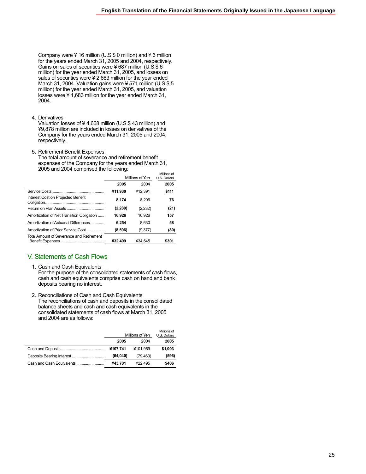Company were ¥ 16 million (U.S.\$ 0 million) and ¥ 6 million for the years ended March 31, 2005 and 2004, respectively. Gains on sales of securities were ¥ 687 million (U.S.\$ 6 million) for the year ended March 31, 2005, and losses on sales of securities were ¥ 2,663 million for the year ended March 31, 2004. Valuation gains were ¥ 571 million (U.S.\$ 5 million) for the year ended March 31, 2005, and valuation losses were ¥ 1,683 million for the year ended March 31, 2004.

4. Derivatives

Valuation losses of ¥ 4,668 million (U.S.\$ 43 million) and ¥9,878 million are included in losses on derivatives of the Company for the years ended March 31, 2005 and 2004, respectively.

5. Retirement Benefit Expenses The total amount of severance and retirement benefit

expenses of the Company for the years ended March 31, 2005 and 2004 comprised the following:

|                                           | Millions of Yen |         | Millions of<br>U.S. Dollars |
|-------------------------------------------|-----------------|---------|-----------------------------|
|                                           | 2005            | 2004    | 2005                        |
|                                           | ¥11.930         | ¥12.391 | \$111                       |
| Interest Cost on Projected Benefit        | 8.174           | 8.206   | 76                          |
|                                           | (2, 280)        | (2,232) | (21)                        |
| Amortization of Net Transition Obligation | 16.926          | 16.926  | 157                         |
| Amortization of Actuarial Differences     | 6.254           | 8,630   | 58                          |
| Amortization of Prior Service Cost        | (8,596)         | (9,377) | (80)                        |
| Total Amount of Severance and Retirement  | ¥32.409         | ¥34.545 | \$301                       |

### V. Statements of Cash Flows

- 1. Cash and Cash Equivalents For the purpose of the consolidated statements of cash flows, cash and cash equivalents comprise cash on hand and bank deposits bearing no interest.
- 2. Reconciliations of Cash and Cash Equivalents The reconciliations of cash and deposits in the consolidated balance sheets and cash and cash equivalents in the consolidated statements of cash flows at March 31, 2005 and 2004 are as follows:

|                           | Millions of Yen |          | Millions of<br>U.S. Dollars |
|---------------------------|-----------------|----------|-----------------------------|
|                           | 2005            | 2004     | 2005                        |
|                           | ¥107,741        | ¥101.959 | \$1,003                     |
|                           | (64,040)        | (79.463) | (596)                       |
| Cash and Cash Equivalents | ¥43,701         | ¥22.495  | \$406                       |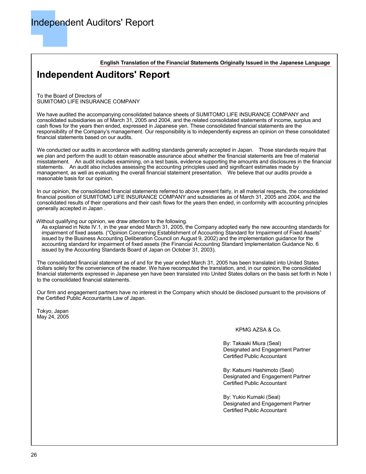**English Translation of the Financial Statements Originally Issued in the Japanese Language**

### **Independent Auditors' Report**

To the Board of Directors of SUMITOMO LIFE INSURANCE COMPANY

We have audited the accompanying consolidated balance sheets of SUMITOMO LIFE INSURANCE COMPANY and consolidated subsidiaries as of March 31, 2005 and 2004, and the related consolidated statements of income, surplus and cash flows for the years then ended, expressed in Japanese yen. These consolidated financial statements are the responsibility of the Company's management. Our responsibility is to independently express an opinion on these consolidated financial statements based on our audits.

We conducted our audits in accordance with auditing standards generally accepted in Japan. Those standards require that we plan and perform the audit to obtain reasonable assurance about whether the financial statements are free of material misstatement. An audit includes examining, on a test basis, evidence supporting the amounts and disclosures in the financial statements. An audit also includes assessing the accounting principles used and significant estimates made by management, as well as evaluating the overall financial statement presentation. We believe that our audits provide a reasonable basis for our opinion.

In our opinion, the consolidated financial statements referred to above present fairly, in all material respects, the consolidated financial position of SUMITOMO LIFE INSURANCE COMPANY and subsidiaries as of March 31, 2005 and 2004, and the consolidated results of their operations and their cash flows for the years then ended, in conformity with accounting principles generally accepted in Japan .

Without qualifying our opinion, we draw attention to the following.

As explained in Note IV.1, in the year ended March 31, 2005, the Company adopted early the new accounting standards for impairment of fixed assets. ("Opinion Concerning Establishment of Accounting Standard for Impairment of Fixed Assets" issued by the Business Accounting Deliberation Council on August 9, 2002) and the implementation guidance for the accounting standard for impairment of fixed assets (the Financial Accounting Standard Implementation Guidance No. 6 issued by the Accounting Standards Board of Japan on October 31, 2003).

The consolidated financial statement as of and for the year ended March 31, 2005 has been translated into United States dollars solely for the convenience of the reader. We have recomputed the translation, and, in our opinion, the consolidated financial statements expressed in Japanese yen have been translated into United States dollars on the basis set forth in Note I to the consolidated financial statements.

Our firm and engagement partners have no interest in the Company which should be disclosed pursuant to the provisions of the Certified Public Accountants Law of Japan.

Tokyo, Japan May 24, 2005

### KPMG AZSA & Co.

By: Takaaki Miura (Seal) Designated and Engagement Partner Certified Public Accountant

By: Katsumi Hashimoto (Seal) Designated and Engagement Partner Certified Public Accountant

By: Yukio Kumaki (Seal) Designated and Engagement Partner Certified Public Accountant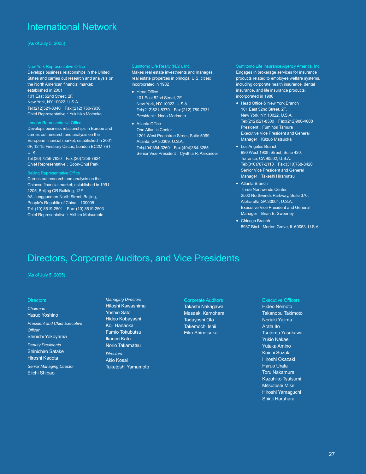### International Network

### (As of July 5, 2005)

#### New York Representative Office

Develops business relationships in the United States and carries out research and analysis on the North American financial market; established in 2001 101 East 52nd Street, 2F, New York, NY 10022, U.S.A. Tel:(212)521-8340 Fax:(212) 750-7930 Chief Representative: Yukihiko Motooka

#### London Representative Office

Develops business relationships in Europe and carries out research and analysis on the European financial market; established in 2001 6F, 12-15 Finsbury Circus, London EC2M 7BT, U. K.

Tel:(20) 7256-7630 Fax:(20)7256-7624 Chief Representative: Soon-Chul Park

#### Beijing Representative Office

Carries out research and analysis on the Chinese financial market; established in 1991 1205, Beijing CR Building, 12F A8 Jiangguomen-North Street, Beijing, People's Republic of China 100005 Tel: (10) 8519-2501 Fax: (10) 8519-2503 Chief Representative: Akihiro Matsumoto

#### Sumitomo Life Realty (N.Y.), Inc.

Makes real estate investments and manages real estate properties in principal U.S. cities; incorporated in 1982

- Head Office 101 East 52nd Street, 2F, New York, NY 10022, U.S.A. Tel:(212)521-8370 Fax:(212) 750-7931 President: Norio Morimoto
- Atlanta Office One Atlantic Center 1201 West Peachtree Street, Suite 5099, Atlanta, GA 30309, U.S.A. Tel:(404)364-3260 Fax:(404)364-3265 Senior Vice President: Cynthia R. Alexander

Sumitomo Life Insurance Agency America, Inc. Engages in brokerage services for insurance products related to employee welfare systems, including corporate health insurance, dental insurance, and life insurance products; incorporated in 1986

- Head Office & New York Branch 101 East 52nd Street, 2F, New York, NY 10022, U.S.A. Tel:(212)521-8300 Fax:(212)980-4008 President: Fuminori Tamura Executive Vice President and General Manager: Kazuo Matsuoka
- Los Angeles Branch 990 West 190th Street, Suite 420, Torrance, CA 90502, U.S.A. Tel:(310)767-2113 Fax:(310)768-3420 Senior Vice President and General Manager: Takeshi Hiramatsu
- Atlanta Branch Three Northwinds Center, 2500 Northwinds Parkway, Suite 370, Alpharetta,GA 30004, U.S.A. Executive Vice President and General Manager: Brian E. Sweeney
- Chicago Branch 8937 Birch, Morton Grove, IL 60053, U.S.A.

### Directors, Corporate Auditors, and Vice Presidents

(As of July 5, 2005)

#### **Directors**

*Chairman*  Yasuo Yoshino

*President and Chief Executive Officer* 

Shinichi Yokoyama *Deputy Presidents* 

Shinichiro Satake Hiroshi Kadota

*Senior Managing Director*  Eiichi Shibao

*Managing Directors*  Hitoshi Kawashima Yoshio Sato Hideo Kobayashi Koji Hanaoka Fumio Tokubutsu Ikunori Kato Norio Takamatsu

*Directors*  Akio Kosai Taketoshi Yamamoto

Corporate Auditors Takashi Nakagawa Masaaki Kamohara Tadayoshi Ota Takemochi Ishii Eiko Shinotsuka

### Executive Officers

Hideo Nemoto Takanobu Takimoto Noriaki Yajima Arata Ito Tsutomu Yasukawa Yukio Nakae Yutaka Amino Koichi Suzaki Hiroshi Okazaki Haruo Urata Toru Nakamura Kazuhiko Tsutsumi Mitsutoshi Mise Hiroshi Yamaguchi Shinji Haruhara